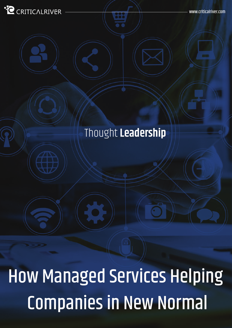#### **. O** CRITICALRIVER

# Thought **Leadership**

How Managed Services Helping Companies in New Normal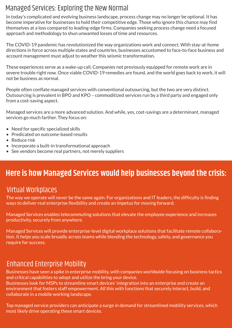#### Managed Services: Exploring the New Normal

In today's complicated and evolving business landscape, process change may no longer be optional. It has become imperative for businesses to hold their competitive edge. Those who ignore this chance may find themselves at a loss compared to leading-edge firms. Companies seeking process change need a focused approach and methodology to shun unwanted losses of time and resources.

The COVID-19 pandemic has revolutionized the way organizations work and connect. With stay-at-home directions in force across multiple states and countries, businesses accustomed to face-to-face business and account management must adjust to weather this seismic transformation.

These experiences serve as a wake-up call. Companies not previously equipped for remote work are in severe trouble right now. Once viable COVID-19 remedies are found, and the world goes back to work, it will not be business as normal.

People often conflate managed services with conventional outsourcing, but the two are very distinct. Outsourcing is prevalent in BPO and KPO – commoditized services run by a third party and engaged only from a cost-saving aspect.

Managed services are a more advanced solution. And while, yes, cost-savings are a determinant, managed services go much farther. They focus on:

- Need for specific specialized skills
- Predicated on outcome-based results
- Reduce risk
- Incorporate a built-in transformational approach
- See vendors become real partners, not merely suppliers

#### **Here is how Managed Services would help businesses beyond the crisis:**

#### Virtual Workplaces

The way we operate will never be the same again. For organizations and IT leaders, the difficulty is finding ways to deliver real enterprise flexibility and create an impetus for moving forward.

Managed Services enables telecommuting solutions that elevate the employee experience and increases productivity, securely from anywhere.

Managed Services will provide enterprise-level digital workplace solutions that facilitate remote collaboration. It helps you scale broadly across teams while blending the technology, safety, and governance you require for success.

#### Enhanced Enterprise Mobility

Businesses have seen a spike in enterprise mobility, with companies worldwide focusing on business tactics and critical capabilities to adopt and utilize the bring your device.

Businesses look for MSPs to streamline smart devices' integration into an enterprise and create an environment that fosters staff empowerment. All this with functions that securely interact, build, and collaborate in a mobile working landscape.

Top managed service providers can anticipate a surge in demand for streamlined mobility services, which most likely drive operating these smart devices.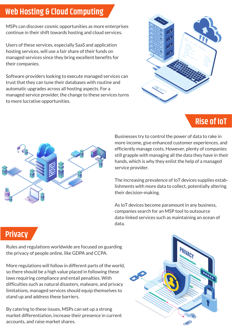### **Web Hosting & Cloud Computing**

MSPs can discover cosmic opportunities as more enterprises continue in their shift towards hosting and cloud services.

Users of these services, especially SaaS and application hosting services, will use a fair share of their funds on managed services since they bring excellent benefits for their companies.

Software providers looking to execute managed services can trust that they can tune their databases with routine and automatic upgrades across all hosting aspects. For a managed service provider, the change to these services turns to more lucrative opportunities.



#### **Rise of IoT**



Businesses try to control the power of data to rake in more income, give enhanced customer experiences, and efficiently manage costs. However, plenty of companies still grapple with managing all the data they have in their hands, which is why they enlist the help of a managed service provider.

The increasing prevalence of IoT devices supplies establishments with more data to collect, potentially altering their decision-making.

As IoT devices become paramount in any business, companies search for an MSP tool to outsource data-linked services such as maintaining an ocean of data.

# **Privacy**

Rules and regulations worldwide are focused on guarding the privacy of people online, like GDPA and CCPA.

More regulations will follow in different parts of the world, so there should be a high value placed in following these laws requiring compliance and entail penalties. With difficulties such as natural disasters, malware, and privacy limitations, managed services should equip themselves to stand up and address these barriers.

By catering to these issues, MSPs can set up a strong market differentiation, increase their presence in current accounts, and raise market shares.